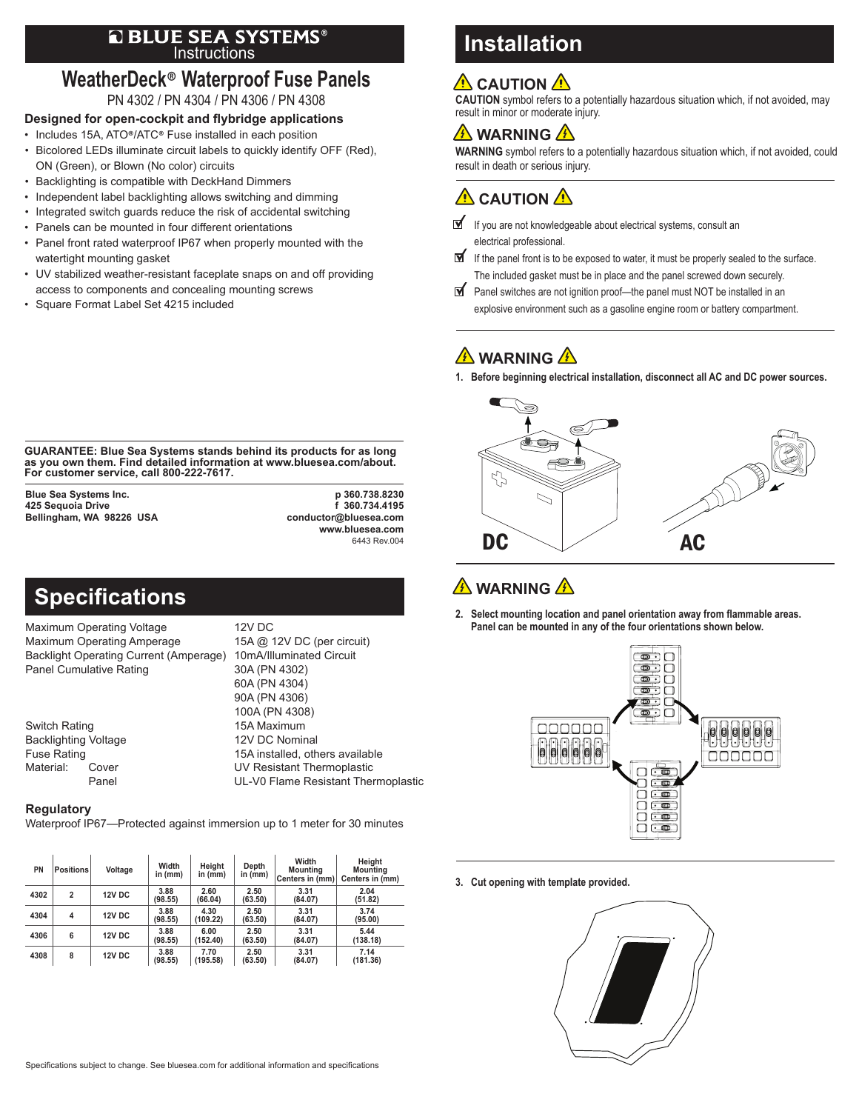### Instructions ®

### **WeatherDeck**® **Waterproof Fuse Panels** PN 4302 / PN 4304 / PN 4306 / PN 4308

### **Designed for open-cockpit and flybridge applications**

- Includes 15A, ATO®/ATC® Fuse installed in each position
- Bicolored LEDs illuminate circuit labels to quickly identify OFF (Red), ON (Green), or Blown (No color) circuits
- Backlighting is compatible with DeckHand Dimmers
- Independent label backlighting allows switching and dimming
- Integrated switch guards reduce the risk of accidental switching
- Panels can be mounted in four different orientations
- Panel front rated waterproof IP67 when properly mounted with the watertight mounting gasket
- UV stabilized weather-resistant faceplate snaps on and off providing access to components and concealing mounting screws
- Square Format Label Set 4215 included

# **Installation**

## **A** CAUTION A

**CAUTION** symbol refers to a potentially hazardous situation which, if not avoided, may result in minor or moderate injury.

### **A** WARNING A

**WARNING** symbol refers to a potentially hazardous situation which, if not avoided, could result in death or serious injury.

 $\hat{\mathbf{\Lambda}}$  CAUTION  $\hat{\mathbf{\Lambda}}$ 

- If you are not knowledgeable about electrical systems, consult an electrical professional.
- ⊻ If the panel front is to be exposed to water, it must be properly sealed to the surface. The included gasket must be in place and the panel screwed down securely.
- Panel switches are not ignition proof—the panel must NOT be installed in an explosive environment such as a gasoline engine room or battery compartment.

## **A** WARNING A

**1. Before beginning electrical installation, disconnect all AC and DC power sources.**



## **WARNING**

**2. Select mounting location and panel orientation away from flammable areas. Panel can be mounted in any of the four orientations shown below.**



**3. Cut opening with template provided.**



**GUARANTEE: Blue Sea Systems stands behind its products for as long as you own them. Find detailed information at www.bluesea.com/about. For customer service, call 800-222-7617.**

**425 Sequoia Drive f 360.734.4195 Bellingham, WA 98226 USA** 

**Blue Sea Systems Inc. p 360.738.8230 www.bluesea.com** 6443 Rev.004

# **Specifications**

Maximum Operating Voltage 12V DC Maximum Operating Amperage 15A @ 12V DC (per circuit)<br>Backlight Operating Current (Amperage) 10mA/Illuminated Circuit Backlight Operating Current (Amperage) Panel Cumulative Rating 30A (PN 4302)

Switch Rating **15A Maximum** Backlighting Voltage 12V DC Nominal<br>12V DC Nominal Fuse Rating

 60A (PN 4304) 90A (PN 4306) 100A (PN 4308) 15A installed, others available Material: Cover UV Resistant Thermoplastic Panel UL-V0 Flame Resistant Thermoplastic

#### **Regulatory**

Waterproof IP67—Protected against immersion up to 1 meter for 30 minutes

| PN   | <b>Positions</b>        | Voltage       | Width<br>in (mm) | Height<br>in (mm) | Depth<br>in (mm) | Width<br>Mountina<br>Centers in (mm) | Height<br>Mounting<br>Centers in (mm) |
|------|-------------------------|---------------|------------------|-------------------|------------------|--------------------------------------|---------------------------------------|
| 4302 | $\overline{2}$          | <b>12V DC</b> | 3.88<br>(98.55)  | 2.60<br>(66.04)   | 2.50<br>(63.50)  | 3.31<br>(84.07)                      | 2.04<br>(51.82)                       |
| 4304 | $\overline{\mathbf{4}}$ | <b>12V DC</b> | 3.88<br>(98.55)  | 4.30<br>(109.22)  | 2.50<br>(63.50)  | 3.31<br>(84.07)                      | 3.74<br>(95.00)                       |
| 4306 | 6                       | <b>12V DC</b> | 3.88<br>(98.55)  | 6.00<br>(152.40)  | 2.50<br>(63.50)  | 3.31<br>(84.07)                      | 5.44<br>(138.18)                      |
| 4308 | 8                       | <b>12V DC</b> | 3.88<br>(98.55)  | 7.70<br>(195.58)  | 2.50<br>(63.50)  | 3.31<br>(84.07)                      | 7.14<br>(181.36)                      |